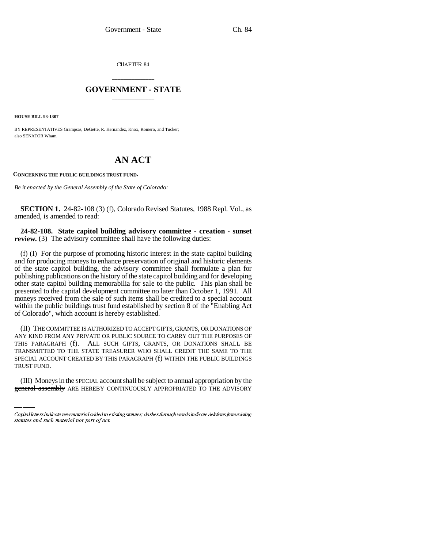CHAPTER 84

## \_\_\_\_\_\_\_\_\_\_\_\_\_\_\_ **GOVERNMENT - STATE** \_\_\_\_\_\_\_\_\_\_\_\_\_\_\_

**HOUSE BILL 93-1307**

BY REPRESENTATIVES Grampsas, DeGette, R. Hernandez, Knox, Romero, and Tucker; also SENATOR Wham.

## **AN ACT**

**CONCERNING THE PUBLIC BUILDINGS TRUST FUND.**

*Be it enacted by the General Assembly of the State of Colorado:*

**SECTION 1.** 24-82-108 (3) (f), Colorado Revised Statutes, 1988 Repl. Vol., as amended, is amended to read:

**24-82-108. State capitol building advisory committee - creation - sunset review.** (3) The advisory committee shall have the following duties:

(f) (I) For the purpose of promoting historic interest in the state capitol building and for producing moneys to enhance preservation of original and historic elements of the state capitol building, the advisory committee shall formulate a plan for publishing publications on the history of the state capitol building and for developing other state capitol building memorabilia for sale to the public. This plan shall be presented to the capital development committee no later than October 1, 1991. All moneys received from the sale of such items shall be credited to a special account within the public buildings trust fund established by section 8 of the "Enabling Act of Colorado", which account is hereby established.

SPECIAL ACCOUNT CREATED BY THIS PARAGRAPH (f) WITHIN THE PUBLIC BUILDINGS (II) THE COMMITTEE IS AUTHORIZED TO ACCEPT GIFTS, GRANTS, OR DONATIONS OF ANY KIND FROM ANY PRIVATE OR PUBLIC SOURCE TO CARRY OUT THE PURPOSES OF THIS PARAGRAPH (f). ALL SUCH GIFTS, GRANTS, OR DONATIONS SHALL BE TRANSMITTED TO THE STATE TREASURER WHO SHALL CREDIT THE SAME TO THE TRUST FUND.

(III) Moneys in the SPECIAL account shall be subject to annual appropriation by the general assembly ARE HEREBY CONTINUOUSLY APPROPRIATED TO THE ADVISORY

Capital letters indicate new material added to existing statutes; dashes through words indicate deletions from existing statutes and such material not part of act.